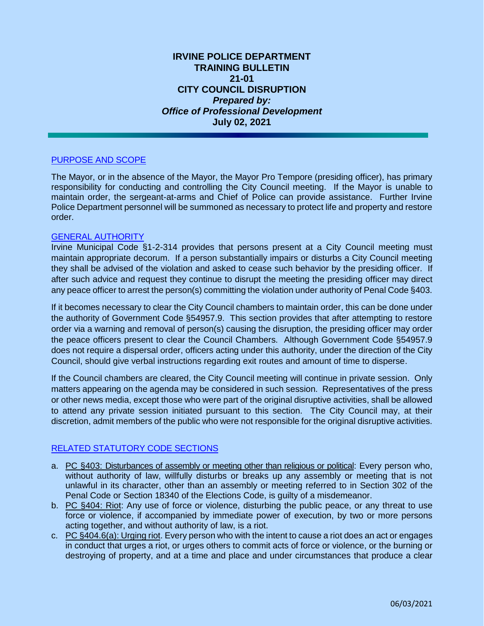# **IRVINE POLICE DEPARTMENT TRAINING BULLETIN 21-01 CITY COUNCIL DISRUPTION** *Prepared by: Office of Professional Development* **July 02, 2021**

# PURPOSE AND SCOPE

The Mayor, or in the absence of the Mayor, the Mayor Pro Tempore (presiding officer), has primary responsibility for conducting and controlling the City Council meeting. If the Mayor is unable to maintain order, the sergeant-at-arms and Chief of Police can provide assistance. Further Irvine Police Department personnel will be summoned as necessary to protect life and property and restore order.

#### GENERAL AUTHORITY

Irvine Municipal Code §1-2-314 provides that persons present at a City Council meeting must maintain appropriate decorum. If a person substantially impairs or disturbs a City Council meeting they shall be advised of the violation and asked to cease such behavior by the presiding officer. If after such advice and request they continue to disrupt the meeting the presiding officer may direct any peace officer to arrest the person(s) committing the violation under authority of Penal Code §403.

If it becomes necessary to clear the City Council chambers to maintain order, this can be done under the authority of Government Code §54957.9. This section provides that after attempting to restore order via a warning and removal of person(s) causing the disruption, the presiding officer may order the peace officers present to clear the Council Chambers. Although Government Code §54957.9 does not require a dispersal order, officers acting under this authority, under the direction of the City Council, should give verbal instructions regarding exit routes and amount of time to disperse.

If the Council chambers are cleared, the City Council meeting will continue in private session. Only matters appearing on the agenda may be considered in such session. Representatives of the press or other news media, except those who were part of the original disruptive activities, shall be allowed to attend any private session initiated pursuant to this section. The City Council may, at their discretion, admit members of the public who were not responsible for the original disruptive activities.

## RELATED STATUTORY CODE SECTIONS

- a. PC §403: Disturbances of assembly or meeting other than religious or political: Every person who, without authority of law, willfully disturbs or breaks up any assembly or meeting that is not unlawful in its character, other than an assembly or meeting referred to in Section 302 of the Penal Code or Section 18340 of the Elections Code, is guilty of a misdemeanor.
- b. PC §404: Riot: Any use of force or violence, disturbing the public peace, or any threat to use force or violence, if accompanied by immediate power of execution, by two or more persons acting together, and without authority of law, is a riot.
- c. PC §404.6(a): Urging riot. Every person who with the intent to cause a riot does an act or engages in conduct that urges a riot, or urges others to commit acts of force or violence, or the burning or destroying of property, and at a time and place and under circumstances that produce a clear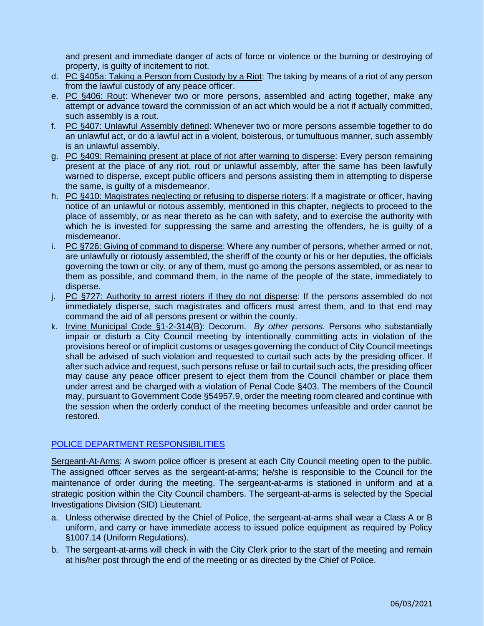and present and immediate danger of acts of force or violence or the burning or destroying of property, is guilty of incitement to riot.

- d. PC §405a: Taking a Person from Custody by a Riot: The taking by means of a riot of any person from the lawful custody of any peace officer.
- e. PC §406: Rout: Whenever two or more persons, assembled and acting together, make any attempt or advance toward the commission of an act which would be a riot if actually committed, such assembly is a rout.
- f. PC §407: Unlawful Assembly defined: Whenever two or more persons assemble together to do an unlawful act, or do a lawful act in a violent, boisterous, or tumultuous manner, such assembly is an unlawful assembly.
- g. PC §409: Remaining present at place of riot after warning to disperse: Every person remaining present at the place of any riot, rout or unlawful assembly, after the same has been lawfully warned to disperse, except public officers and persons assisting them in attempting to disperse the same, is guilty of a misdemeanor.
- h. PC §410: Magistrates neglecting or refusing to disperse rioters: If a magistrate or officer, having notice of an unlawful or riotous assembly, mentioned in this chapter, neglects to proceed to the place of assembly, or as near thereto as he can with safety, and to exercise the authority with which he is invested for suppressing the same and arresting the offenders, he is guilty of a misdemeanor.
- i. PC §726: Giving of command to disperse: Where any number of persons, whether armed or not, are unlawfully or riotously assembled, the sheriff of the county or his or her deputies, the officials governing the town or city, or any of them, must go among the persons assembled, or as near to them as possible, and command them, in the name of the people of the state, immediately to disperse.
- j. PC §727: Authority to arrest rioters if they do not disperse: If the persons assembled do not immediately disperse, such magistrates and officers must arrest them, and to that end may command the aid of all persons present or within the county.
- k. Irvine Municipal Code §1-2-314(B): Decorum. *By other persons.* Persons who substantially impair or disturb a City Council meeting by intentionally committing acts in violation of the provisions hereof or of implicit customs or usages governing the conduct of City Council meetings shall be advised of such violation and requested to curtail such acts by the presiding officer. If after such advice and request, such persons refuse or fail to curtail such acts, the presiding officer may cause any peace officer present to eject them from the Council chamber or place them under arrest and be charged with a violation of Penal Code §403. The members of the Council may, pursuant to Government Code §54957.9, order the meeting room cleared and continue with the session when the orderly conduct of the meeting becomes unfeasible and order cannot be restored.

## POLICE DEPARTMENT RESPONSIBILITIES

Sergeant-At-Arms: A sworn police officer is present at each City Council meeting open to the public. The assigned officer serves as the sergeant-at-arms; he/she is responsible to the Council for the maintenance of order during the meeting. The sergeant-at-arms is stationed in uniform and at a strategic position within the City Council chambers. The sergeant-at-arms is selected by the Special Investigations Division (SID) Lieutenant.

- a. Unless otherwise directed by the Chief of Police, the sergeant-at-arms shall wear a Class A or B uniform, and carry or have immediate access to issued police equipment as required by Policy §1007.14 (Uniform Regulations).
- b. The sergeant-at-arms will check in with the City Clerk prior to the start of the meeting and remain at his/her post through the end of the meeting or as directed by the Chief of Police.